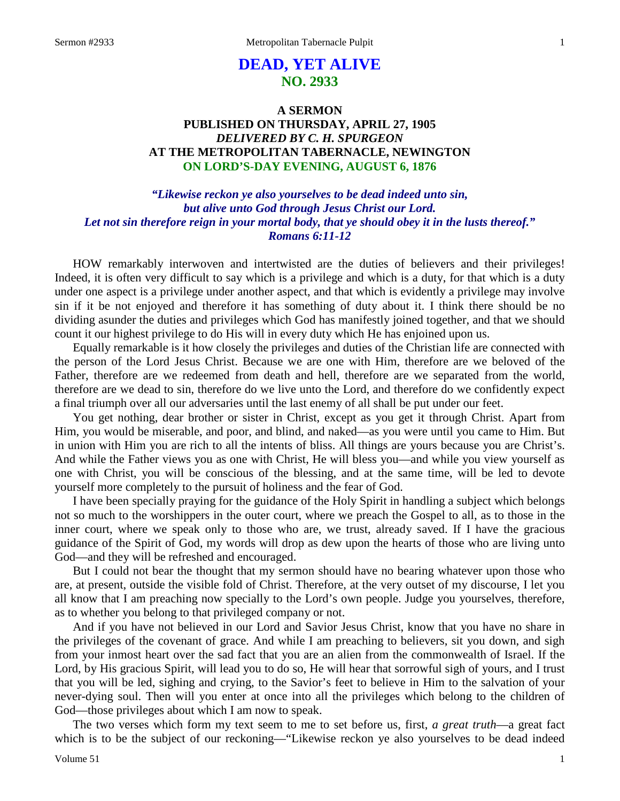# **DEAD, YET ALIVE NO. 2933**

## **A SERMON PUBLISHED ON THURSDAY, APRIL 27, 1905** *DELIVERED BY C. H. SPURGEON* **AT THE METROPOLITAN TABERNACLE, NEWINGTON ON LORD'S-DAY EVENING, AUGUST 6, 1876**

## *"Likewise reckon ye also yourselves to be dead indeed unto sin, but alive unto God through Jesus Christ our Lord. Let not sin therefore reign in your mortal body, that ye should obey it in the lusts thereof." Romans 6:11-12*

HOW remarkably interwoven and intertwisted are the duties of believers and their privileges! Indeed, it is often very difficult to say which is a privilege and which is a duty, for that which is a duty under one aspect is a privilege under another aspect, and that which is evidently a privilege may involve sin if it be not enjoyed and therefore it has something of duty about it. I think there should be no dividing asunder the duties and privileges which God has manifestly joined together, and that we should count it our highest privilege to do His will in every duty which He has enjoined upon us.

Equally remarkable is it how closely the privileges and duties of the Christian life are connected with the person of the Lord Jesus Christ. Because we are one with Him, therefore are we beloved of the Father, therefore are we redeemed from death and hell, therefore are we separated from the world, therefore are we dead to sin, therefore do we live unto the Lord, and therefore do we confidently expect a final triumph over all our adversaries until the last enemy of all shall be put under our feet.

You get nothing, dear brother or sister in Christ, except as you get it through Christ. Apart from Him, you would be miserable, and poor, and blind, and naked—as you were until you came to Him. But in union with Him you are rich to all the intents of bliss. All things are yours because you are Christ's. And while the Father views you as one with Christ, He will bless you—and while you view yourself as one with Christ, you will be conscious of the blessing, and at the same time, will be led to devote yourself more completely to the pursuit of holiness and the fear of God.

I have been specially praying for the guidance of the Holy Spirit in handling a subject which belongs not so much to the worshippers in the outer court, where we preach the Gospel to all, as to those in the inner court, where we speak only to those who are, we trust, already saved. If I have the gracious guidance of the Spirit of God, my words will drop as dew upon the hearts of those who are living unto God—and they will be refreshed and encouraged.

But I could not bear the thought that my sermon should have no bearing whatever upon those who are, at present, outside the visible fold of Christ. Therefore, at the very outset of my discourse, I let you all know that I am preaching now specially to the Lord's own people. Judge you yourselves, therefore, as to whether you belong to that privileged company or not.

And if you have not believed in our Lord and Savior Jesus Christ, know that you have no share in the privileges of the covenant of grace. And while I am preaching to believers, sit you down, and sigh from your inmost heart over the sad fact that you are an alien from the commonwealth of Israel. If the Lord, by His gracious Spirit, will lead you to do so, He will hear that sorrowful sigh of yours, and I trust that you will be led, sighing and crying, to the Savior's feet to believe in Him to the salvation of your never-dying soul. Then will you enter at once into all the privileges which belong to the children of God—those privileges about which I am now to speak.

The two verses which form my text seem to me to set before us, first, *a great truth*—a great fact which is to be the subject of our reckoning—"Likewise reckon ye also yourselves to be dead indeed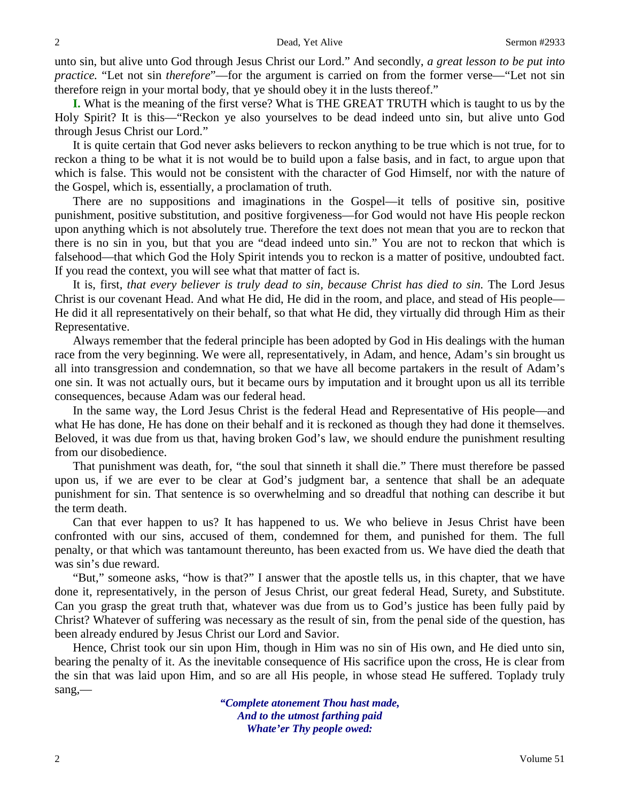unto sin, but alive unto God through Jesus Christ our Lord." And secondly, *a great lesson to be put into practice.* "Let not sin *therefore*"—for the argument is carried on from the former verse—"Let not sin therefore reign in your mortal body, that ye should obey it in the lusts thereof."

**I.** What is the meaning of the first verse? What is THE GREAT TRUTH which is taught to us by the Holy Spirit? It is this—"Reckon ye also yourselves to be dead indeed unto sin, but alive unto God through Jesus Christ our Lord."

It is quite certain that God never asks believers to reckon anything to be true which is not true, for to reckon a thing to be what it is not would be to build upon a false basis, and in fact, to argue upon that which is false. This would not be consistent with the character of God Himself, nor with the nature of the Gospel, which is, essentially, a proclamation of truth.

There are no suppositions and imaginations in the Gospel—it tells of positive sin, positive punishment, positive substitution, and positive forgiveness—for God would not have His people reckon upon anything which is not absolutely true. Therefore the text does not mean that you are to reckon that there is no sin in you, but that you are "dead indeed unto sin." You are not to reckon that which is falsehood—that which God the Holy Spirit intends you to reckon is a matter of positive, undoubted fact. If you read the context, you will see what that matter of fact is.

It is, first, *that every believer is truly dead to sin, because Christ has died to sin.* The Lord Jesus Christ is our covenant Head. And what He did, He did in the room, and place, and stead of His people— He did it all representatively on their behalf, so that what He did, they virtually did through Him as their Representative.

Always remember that the federal principle has been adopted by God in His dealings with the human race from the very beginning. We were all, representatively, in Adam, and hence, Adam's sin brought us all into transgression and condemnation, so that we have all become partakers in the result of Adam's one sin. It was not actually ours, but it became ours by imputation and it brought upon us all its terrible consequences, because Adam was our federal head.

In the same way, the Lord Jesus Christ is the federal Head and Representative of His people—and what He has done, He has done on their behalf and it is reckoned as though they had done it themselves. Beloved, it was due from us that, having broken God's law, we should endure the punishment resulting from our disobedience.

That punishment was death, for, "the soul that sinneth it shall die." There must therefore be passed upon us, if we are ever to be clear at God's judgment bar, a sentence that shall be an adequate punishment for sin. That sentence is so overwhelming and so dreadful that nothing can describe it but the term death.

Can that ever happen to us? It has happened to us. We who believe in Jesus Christ have been confronted with our sins, accused of them, condemned for them, and punished for them. The full penalty, or that which was tantamount thereunto, has been exacted from us. We have died the death that was sin's due reward.

"But," someone asks, "how is that?" I answer that the apostle tells us, in this chapter, that we have done it, representatively, in the person of Jesus Christ, our great federal Head, Surety, and Substitute. Can you grasp the great truth that, whatever was due from us to God's justice has been fully paid by Christ? Whatever of suffering was necessary as the result of sin, from the penal side of the question, has been already endured by Jesus Christ our Lord and Savior.

Hence, Christ took our sin upon Him, though in Him was no sin of His own, and He died unto sin, bearing the penalty of it. As the inevitable consequence of His sacrifice upon the cross, He is clear from the sin that was laid upon Him, and so are all His people, in whose stead He suffered. Toplady truly sang,—

> *"Complete atonement Thou hast made, And to the utmost farthing paid Whate'er Thy people owed:*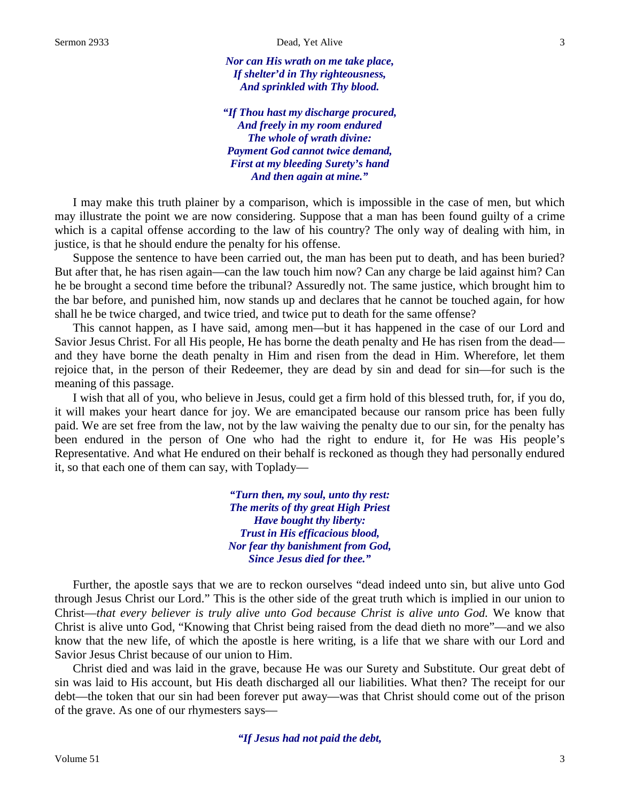*Nor can His wrath on me take place, If shelter'd in Thy righteousness, And sprinkled with Thy blood.*

*"If Thou hast my discharge procured, And freely in my room endured The whole of wrath divine: Payment God cannot twice demand, First at my bleeding Surety's hand And then again at mine."*

I may make this truth plainer by a comparison, which is impossible in the case of men, but which may illustrate the point we are now considering. Suppose that a man has been found guilty of a crime which is a capital offense according to the law of his country? The only way of dealing with him, in justice, is that he should endure the penalty for his offense.

Suppose the sentence to have been carried out, the man has been put to death, and has been buried? But after that, he has risen again—can the law touch him now? Can any charge be laid against him? Can he be brought a second time before the tribunal? Assuredly not. The same justice, which brought him to the bar before, and punished him, now stands up and declares that he cannot be touched again, for how shall he be twice charged, and twice tried, and twice put to death for the same offense?

This cannot happen, as I have said, among men*—*but it has happened in the case of our Lord and Savior Jesus Christ. For all His people, He has borne the death penalty and He has risen from the dead and they have borne the death penalty in Him and risen from the dead in Him. Wherefore, let them rejoice that, in the person of their Redeemer, they are dead by sin and dead for sin—for such is the meaning of this passage.

I wish that all of you, who believe in Jesus, could get a firm hold of this blessed truth, for, if you do, it will makes your heart dance for joy. We are emancipated because our ransom price has been fully paid. We are set free from the law, not by the law waiving the penalty due to our sin, for the penalty has been endured in the person of One who had the right to endure it, for He was His people's Representative. And what He endured on their behalf is reckoned as though they had personally endured it, so that each one of them can say, with Toplady—

> *"Turn then, my soul, unto thy rest: The merits of thy great High Priest Have bought thy liberty: Trust in His efficacious blood, Nor fear thy banishment from God, Since Jesus died for thee."*

Further, the apostle says that we are to reckon ourselves "dead indeed unto sin, but alive unto God through Jesus Christ our Lord." This is the other side of the great truth which is implied in our union to Christ—*that every believer is truly alive unto God because Christ is alive unto God.* We know that Christ is alive unto God, "Knowing that Christ being raised from the dead dieth no more"—and we also know that the new life, of which the apostle is here writing, is a life that we share with our Lord and Savior Jesus Christ because of our union to Him.

Christ died and was laid in the grave, because He was our Surety and Substitute. Our great debt of sin was laid to His account, but His death discharged all our liabilities. What then? The receipt for our debt—the token that our sin had been forever put away—was that Christ should come out of the prison of the grave. As one of our rhymesters says—

*"If Jesus had not paid the debt,*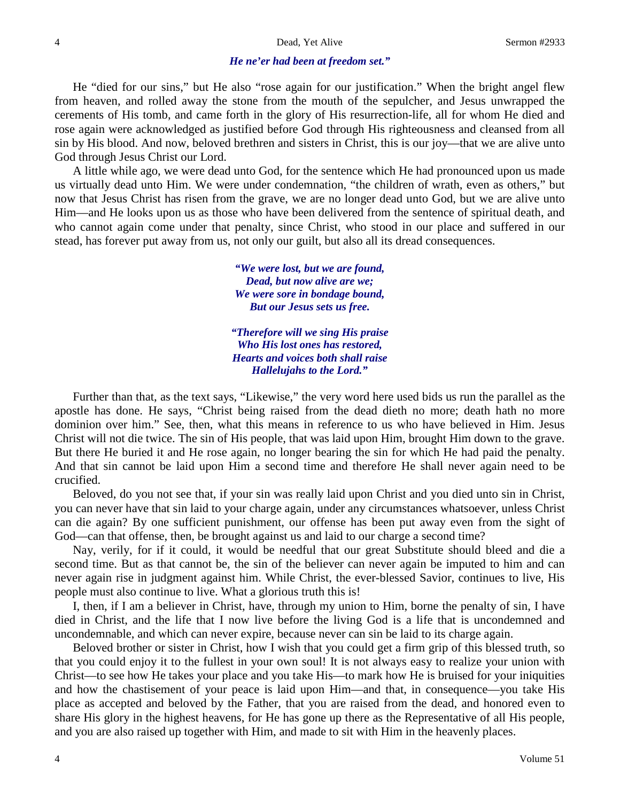### *He ne'er had been at freedom set."*

He "died for our sins," but He also "rose again for our justification." When the bright angel flew from heaven, and rolled away the stone from the mouth of the sepulcher, and Jesus unwrapped the cerements of His tomb, and came forth in the glory of His resurrection-life, all for whom He died and rose again were acknowledged as justified before God through His righteousness and cleansed from all sin by His blood. And now, beloved brethren and sisters in Christ, this is our joy—that we are alive unto God through Jesus Christ our Lord.

A little while ago, we were dead unto God, for the sentence which He had pronounced upon us made us virtually dead unto Him. We were under condemnation, "the children of wrath, even as others," but now that Jesus Christ has risen from the grave, we are no longer dead unto God, but we are alive unto Him—and He looks upon us as those who have been delivered from the sentence of spiritual death, and who cannot again come under that penalty, since Christ, who stood in our place and suffered in our stead, has forever put away from us, not only our guilt, but also all its dread consequences.

> *"We were lost, but we are found, Dead, but now alive are we; We were sore in bondage bound, But our Jesus sets us free.*

*"Therefore will we sing His praise Who His lost ones has restored, Hearts and voices both shall raise Hallelujahs to the Lord."*

Further than that, as the text says, "Likewise," the very word here used bids us run the parallel as the apostle has done. He says, "Christ being raised from the dead dieth no more; death hath no more dominion over him." See, then, what this means in reference to us who have believed in Him. Jesus Christ will not die twice. The sin of His people, that was laid upon Him, brought Him down to the grave. But there He buried it and He rose again, no longer bearing the sin for which He had paid the penalty. And that sin cannot be laid upon Him a second time and therefore He shall never again need to be crucified.

Beloved, do you not see that, if your sin was really laid upon Christ and you died unto sin in Christ, you can never have that sin laid to your charge again, under any circumstances whatsoever, unless Christ can die again? By one sufficient punishment, our offense has been put away even from the sight of God—can that offense, then, be brought against us and laid to our charge a second time?

Nay, verily, for if it could, it would be needful that our great Substitute should bleed and die a second time. But as that cannot be, the sin of the believer can never again be imputed to him and can never again rise in judgment against him. While Christ, the ever-blessed Savior, continues to live, His people must also continue to live. What a glorious truth this is!

I, then, if I am a believer in Christ, have, through my union to Him, borne the penalty of sin, I have died in Christ, and the life that I now live before the living God is a life that is uncondemned and uncondemnable, and which can never expire, because never can sin be laid to its charge again.

Beloved brother or sister in Christ, how I wish that you could get a firm grip of this blessed truth, so that you could enjoy it to the fullest in your own soul! It is not always easy to realize your union with Christ—to see how He takes your place and you take His—to mark how He is bruised for your iniquities and how the chastisement of your peace is laid upon Him—and that, in consequence—you take His place as accepted and beloved by the Father, that you are raised from the dead, and honored even to share His glory in the highest heavens, for He has gone up there as the Representative of all His people, and you are also raised up together with Him, and made to sit with Him in the heavenly places.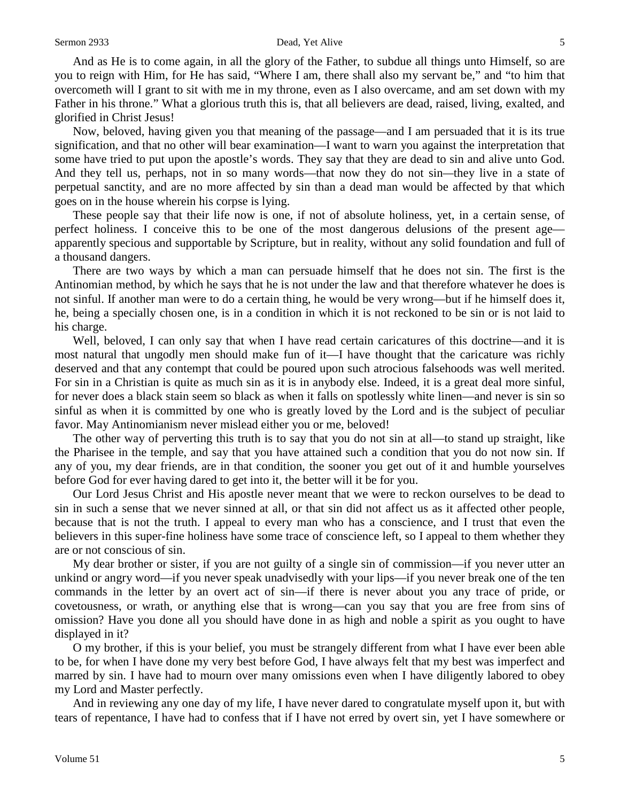### Sermon 2933 **Dead, Yet Alive** 5

And as He is to come again, in all the glory of the Father, to subdue all things unto Himself, so are you to reign with Him, for He has said, "Where I am, there shall also my servant be," and "to him that overcometh will I grant to sit with me in my throne, even as I also overcame, and am set down with my Father in his throne." What a glorious truth this is, that all believers are dead, raised, living, exalted, and glorified in Christ Jesus!

Now, beloved, having given you that meaning of the passage—and I am persuaded that it is its true signification, and that no other will bear examination—I want to warn you against the interpretation that some have tried to put upon the apostle's words. They say that they are dead to sin and alive unto God. And they tell us, perhaps, not in so many words—that now they do not sin*—*they live in a state of perpetual sanctity, and are no more affected by sin than a dead man would be affected by that which goes on in the house wherein his corpse is lying.

These people say that their life now is one, if not of absolute holiness, yet, in a certain sense, of perfect holiness. I conceive this to be one of the most dangerous delusions of the present age apparently specious and supportable by Scripture, but in reality, without any solid foundation and full of a thousand dangers.

There are two ways by which a man can persuade himself that he does not sin. The first is the Antinomian method, by which he says that he is not under the law and that therefore whatever he does is not sinful. If another man were to do a certain thing, he would be very wrong—but if he himself does it, he, being a specially chosen one, is in a condition in which it is not reckoned to be sin or is not laid to his charge.

Well, beloved, I can only say that when I have read certain caricatures of this doctrine—and it is most natural that ungodly men should make fun of it—I have thought that the caricature was richly deserved and that any contempt that could be poured upon such atrocious falsehoods was well merited. For sin in a Christian is quite as much sin as it is in anybody else. Indeed, it is a great deal more sinful, for never does a black stain seem so black as when it falls on spotlessly white linen—and never is sin so sinful as when it is committed by one who is greatly loved by the Lord and is the subject of peculiar favor. May Antinomianism never mislead either you or me, beloved!

The other way of perverting this truth is to say that you do not sin at all—to stand up straight, like the Pharisee in the temple, and say that you have attained such a condition that you do not now sin. If any of you, my dear friends, are in that condition, the sooner you get out of it and humble yourselves before God for ever having dared to get into it, the better will it be for you.

Our Lord Jesus Christ and His apostle never meant that we were to reckon ourselves to be dead to sin in such a sense that we never sinned at all, or that sin did not affect us as it affected other people, because that is not the truth. I appeal to every man who has a conscience, and I trust that even the believers in this super-fine holiness have some trace of conscience left, so I appeal to them whether they are or not conscious of sin.

My dear brother or sister, if you are not guilty of a single sin of commission—if you never utter an unkind or angry word—if you never speak unadvisedly with your lips—if you never break one of the ten commands in the letter by an overt act of sin—if there is never about you any trace of pride, or covetousness, or wrath, or anything else that is wrong—can you say that you are free from sins of omission? Have you done all you should have done in as high and noble a spirit as you ought to have displayed in it?

O my brother, if this is your belief, you must be strangely different from what I have ever been able to be, for when I have done my very best before God, I have always felt that my best was imperfect and marred by sin. I have had to mourn over many omissions even when I have diligently labored to obey my Lord and Master perfectly.

And in reviewing any one day of my life, I have never dared to congratulate myself upon it, but with tears of repentance, I have had to confess that if I have not erred by overt sin, yet I have somewhere or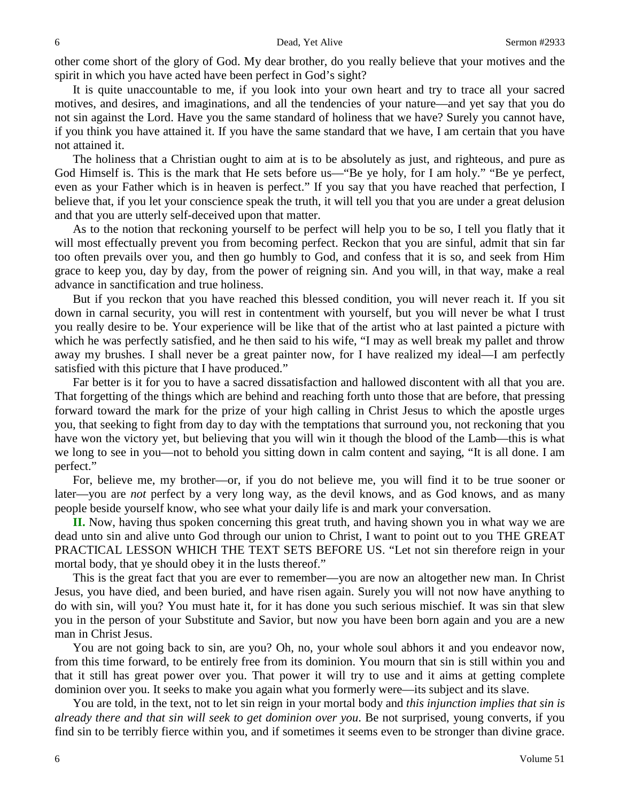other come short of the glory of God. My dear brother, do you really believe that your motives and the spirit in which you have acted have been perfect in God's sight?

It is quite unaccountable to me, if you look into your own heart and try to trace all your sacred motives, and desires, and imaginations, and all the tendencies of your nature—and yet say that you do not sin against the Lord. Have you the same standard of holiness that we have? Surely you cannot have, if you think you have attained it. If you have the same standard that we have, I am certain that you have not attained it.

The holiness that a Christian ought to aim at is to be absolutely as just, and righteous, and pure as God Himself is. This is the mark that He sets before us—"Be ye holy, for I am holy." "Be ye perfect, even as your Father which is in heaven is perfect." If you say that you have reached that perfection, I believe that, if you let your conscience speak the truth, it will tell you that you are under a great delusion and that you are utterly self-deceived upon that matter.

As to the notion that reckoning yourself to be perfect will help you to be so, I tell you flatly that it will most effectually prevent you from becoming perfect. Reckon that you are sinful, admit that sin far too often prevails over you, and then go humbly to God, and confess that it is so, and seek from Him grace to keep you, day by day, from the power of reigning sin. And you will, in that way, make a real advance in sanctification and true holiness.

But if you reckon that you have reached this blessed condition, you will never reach it. If you sit down in carnal security, you will rest in contentment with yourself, but you will never be what I trust you really desire to be. Your experience will be like that of the artist who at last painted a picture with which he was perfectly satisfied, and he then said to his wife, "I may as well break my pallet and throw away my brushes. I shall never be a great painter now, for I have realized my ideal—I am perfectly satisfied with this picture that I have produced."

Far better is it for you to have a sacred dissatisfaction and hallowed discontent with all that you are. That forgetting of the things which are behind and reaching forth unto those that are before, that pressing forward toward the mark for the prize of your high calling in Christ Jesus to which the apostle urges you, that seeking to fight from day to day with the temptations that surround you, not reckoning that you have won the victory yet, but believing that you will win it though the blood of the Lamb—this is what we long to see in you—not to behold you sitting down in calm content and saying, "It is all done. I am perfect."

For, believe me, my brother—or, if you do not believe me, you will find it to be true sooner or later—you are *not* perfect by a very long way, as the devil knows, and as God knows, and as many people beside yourself know, who see what your daily life is and mark your conversation.

**II.** Now, having thus spoken concerning this great truth, and having shown you in what way we are dead unto sin and alive unto God through our union to Christ, I want to point out to you THE GREAT PRACTICAL LESSON WHICH THE TEXT SETS BEFORE US. "Let not sin therefore reign in your mortal body, that ye should obey it in the lusts thereof."

This is the great fact that you are ever to remember—you are now an altogether new man. In Christ Jesus, you have died, and been buried, and have risen again. Surely you will not now have anything to do with sin, will you? You must hate it, for it has done you such serious mischief. It was sin that slew you in the person of your Substitute and Savior, but now you have been born again and you are a new man in Christ Jesus.

You are not going back to sin, are you? Oh, no, your whole soul abhors it and you endeavor now, from this time forward, to be entirely free from its dominion. You mourn that sin is still within you and that it still has great power over you. That power it will try to use and it aims at getting complete dominion over you. It seeks to make you again what you formerly were—its subject and its slave.

You are told, in the text, not to let sin reign in your mortal body and *this injunction implies that sin is already there and that sin will seek to get dominion over you*. Be not surprised, young converts, if you find sin to be terribly fierce within you, and if sometimes it seems even to be stronger than divine grace.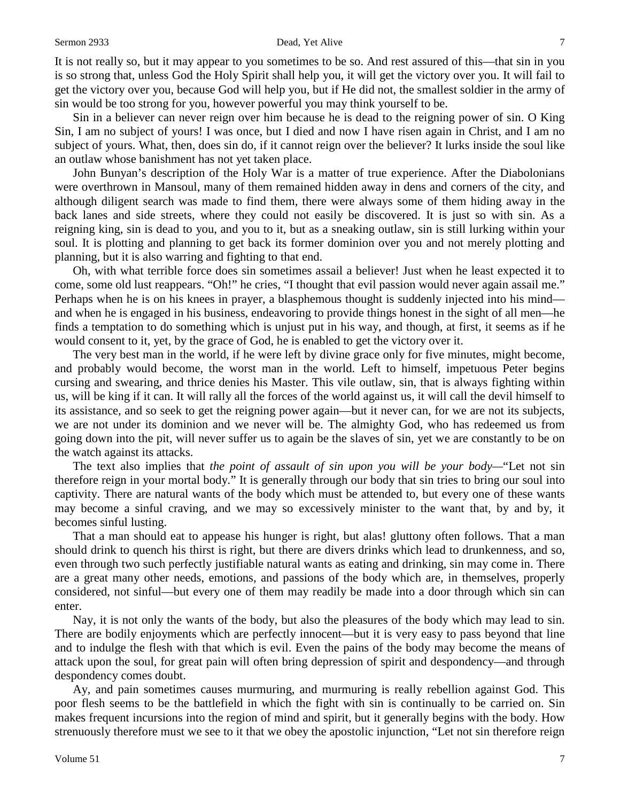### Sermon 2933 **Dead, Yet Alive** 7

It is not really so, but it may appear to you sometimes to be so. And rest assured of this—that sin in you is so strong that, unless God the Holy Spirit shall help you, it will get the victory over you. It will fail to get the victory over you, because God will help you, but if He did not, the smallest soldier in the army of sin would be too strong for you, however powerful you may think yourself to be.

Sin in a believer can never reign over him because he is dead to the reigning power of sin. O King Sin, I am no subject of yours! I was once, but I died and now I have risen again in Christ, and I am no subject of yours. What, then, does sin do, if it cannot reign over the believer? It lurks inside the soul like an outlaw whose banishment has not yet taken place.

John Bunyan's description of the Holy War is a matter of true experience. After the Diabolonians were overthrown in Mansoul, many of them remained hidden away in dens and corners of the city, and although diligent search was made to find them, there were always some of them hiding away in the back lanes and side streets, where they could not easily be discovered. It is just so with sin. As a reigning king, sin is dead to you, and you to it, but as a sneaking outlaw, sin is still lurking within your soul. It is plotting and planning to get back its former dominion over you and not merely plotting and planning, but it is also warring and fighting to that end.

Oh, with what terrible force does sin sometimes assail a believer! Just when he least expected it to come, some old lust reappears. "Oh!" he cries, "I thought that evil passion would never again assail me." Perhaps when he is on his knees in prayer, a blasphemous thought is suddenly injected into his mind and when he is engaged in his business, endeavoring to provide things honest in the sight of all men—he finds a temptation to do something which is unjust put in his way, and though, at first, it seems as if he would consent to it, yet, by the grace of God, he is enabled to get the victory over it.

The very best man in the world, if he were left by divine grace only for five minutes, might become, and probably would become, the worst man in the world. Left to himself, impetuous Peter begins cursing and swearing, and thrice denies his Master. This vile outlaw, sin, that is always fighting within us, will be king if it can. It will rally all the forces of the world against us, it will call the devil himself to its assistance, and so seek to get the reigning power again—but it never can, for we are not its subjects, we are not under its dominion and we never will be. The almighty God, who has redeemed us from going down into the pit, will never suffer us to again be the slaves of sin, yet we are constantly to be on the watch against its attacks.

The text also implies that *the point of assault of sin upon you will be your body—*"Let not sin therefore reign in your mortal body." It is generally through our body that sin tries to bring our soul into captivity. There are natural wants of the body which must be attended to, but every one of these wants may become a sinful craving, and we may so excessively minister to the want that, by and by, it becomes sinful lusting.

That a man should eat to appease his hunger is right, but alas! gluttony often follows. That a man should drink to quench his thirst is right, but there are divers drinks which lead to drunkenness, and so, even through two such perfectly justifiable natural wants as eating and drinking, sin may come in. There are a great many other needs, emotions, and passions of the body which are, in themselves, properly considered, not sinful—but every one of them may readily be made into a door through which sin can enter.

Nay, it is not only the wants of the body, but also the pleasures of the body which may lead to sin. There are bodily enjoyments which are perfectly innocent—but it is very easy to pass beyond that line and to indulge the flesh with that which is evil. Even the pains of the body may become the means of attack upon the soul, for great pain will often bring depression of spirit and despondency—and through despondency comes doubt.

Ay, and pain sometimes causes murmuring, and murmuring is really rebellion against God. This poor flesh seems to be the battlefield in which the fight with sin is continually to be carried on. Sin makes frequent incursions into the region of mind and spirit, but it generally begins with the body. How strenuously therefore must we see to it that we obey the apostolic injunction, "Let not sin therefore reign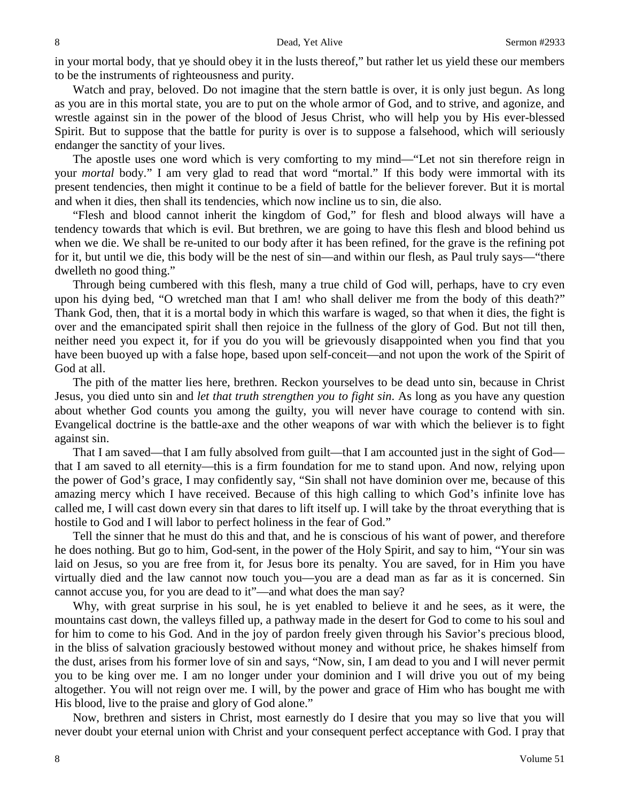in your mortal body, that ye should obey it in the lusts thereof," but rather let us yield these our members to be the instruments of righteousness and purity.

Watch and pray, beloved. Do not imagine that the stern battle is over, it is only just begun. As long as you are in this mortal state, you are to put on the whole armor of God, and to strive, and agonize, and wrestle against sin in the power of the blood of Jesus Christ, who will help you by His ever-blessed Spirit. But to suppose that the battle for purity is over is to suppose a falsehood, which will seriously endanger the sanctity of your lives.

The apostle uses one word which is very comforting to my mind—"Let not sin therefore reign in your *mortal* body." I am very glad to read that word "mortal." If this body were immortal with its present tendencies, then might it continue to be a field of battle for the believer forever. But it is mortal and when it dies, then shall its tendencies, which now incline us to sin, die also.

"Flesh and blood cannot inherit the kingdom of God," for flesh and blood always will have a tendency towards that which is evil. But brethren, we are going to have this flesh and blood behind us when we die. We shall be re-united to our body after it has been refined, for the grave is the refining pot for it, but until we die, this body will be the nest of sin—and within our flesh, as Paul truly says—"there dwelleth no good thing."

Through being cumbered with this flesh, many a true child of God will, perhaps, have to cry even upon his dying bed, "O wretched man that I am! who shall deliver me from the body of this death?" Thank God, then, that it is a mortal body in which this warfare is waged, so that when it dies, the fight is over and the emancipated spirit shall then rejoice in the fullness of the glory of God. But not till then, neither need you expect it, for if you do you will be grievously disappointed when you find that you have been buoyed up with a false hope, based upon self-conceit—and not upon the work of the Spirit of God at all.

The pith of the matter lies here, brethren. Reckon yourselves to be dead unto sin, because in Christ Jesus, you died unto sin and *let that truth strengthen you to fight sin*. As long as you have any question about whether God counts you among the guilty, you will never have courage to contend with sin. Evangelical doctrine is the battle-axe and the other weapons of war with which the believer is to fight against sin.

That I am saved—that I am fully absolved from guilt—that I am accounted just in the sight of God that I am saved to all eternity—this is a firm foundation for me to stand upon. And now, relying upon the power of God's grace, I may confidently say, "Sin shall not have dominion over me, because of this amazing mercy which I have received. Because of this high calling to which God's infinite love has called me, I will cast down every sin that dares to lift itself up. I will take by the throat everything that is hostile to God and I will labor to perfect holiness in the fear of God."

Tell the sinner that he must do this and that, and he is conscious of his want of power, and therefore he does nothing. But go to him, God-sent, in the power of the Holy Spirit, and say to him, "Your sin was laid on Jesus, so you are free from it, for Jesus bore its penalty. You are saved, for in Him you have virtually died and the law cannot now touch you—you are a dead man as far as it is concerned. Sin cannot accuse you, for you are dead to it"—and what does the man say?

Why, with great surprise in his soul, he is yet enabled to believe it and he sees, as it were, the mountains cast down, the valleys filled up, a pathway made in the desert for God to come to his soul and for him to come to his God. And in the joy of pardon freely given through his Savior's precious blood, in the bliss of salvation graciously bestowed without money and without price, he shakes himself from the dust, arises from his former love of sin and says, "Now, sin, I am dead to you and I will never permit you to be king over me. I am no longer under your dominion and I will drive you out of my being altogether. You will not reign over me. I will, by the power and grace of Him who has bought me with His blood, live to the praise and glory of God alone."

Now, brethren and sisters in Christ, most earnestly do I desire that you may so live that you will never doubt your eternal union with Christ and your consequent perfect acceptance with God. I pray that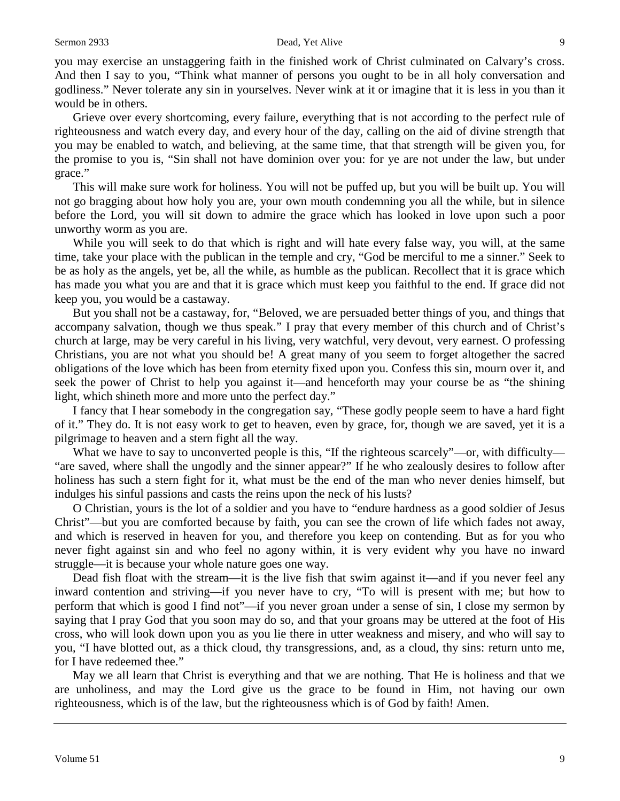### Sermon 2933 Dead, Yet Alive 9

you may exercise an unstaggering faith in the finished work of Christ culminated on Calvary's cross. And then I say to you, "Think what manner of persons you ought to be in all holy conversation and godliness." Never tolerate any sin in yourselves. Never wink at it or imagine that it is less in you than it would be in others.

Grieve over every shortcoming, every failure, everything that is not according to the perfect rule of righteousness and watch every day, and every hour of the day, calling on the aid of divine strength that you may be enabled to watch, and believing, at the same time, that that strength will be given you, for the promise to you is, "Sin shall not have dominion over you: for ye are not under the law, but under grace."

This will make sure work for holiness. You will not be puffed up, but you will be built up. You will not go bragging about how holy you are, your own mouth condemning you all the while, but in silence before the Lord, you will sit down to admire the grace which has looked in love upon such a poor unworthy worm as you are.

While you will seek to do that which is right and will hate every false way, you will, at the same time, take your place with the publican in the temple and cry, "God be merciful to me a sinner." Seek to be as holy as the angels, yet be, all the while, as humble as the publican. Recollect that it is grace which has made you what you are and that it is grace which must keep you faithful to the end. If grace did not keep you, you would be a castaway.

But you shall not be a castaway, for, "Beloved, we are persuaded better things of you, and things that accompany salvation, though we thus speak." I pray that every member of this church and of Christ's church at large, may be very careful in his living, very watchful, very devout, very earnest. O professing Christians, you are not what you should be! A great many of you seem to forget altogether the sacred obligations of the love which has been from eternity fixed upon you. Confess this sin, mourn over it, and seek the power of Christ to help you against it—and henceforth may your course be as "the shining light, which shineth more and more unto the perfect day."

I fancy that I hear somebody in the congregation say, "These godly people seem to have a hard fight of it." They do. It is not easy work to get to heaven, even by grace, for, though we are saved, yet it is a pilgrimage to heaven and a stern fight all the way.

What we have to say to unconverted people is this, "If the righteous scarcely"—or, with difficulty— "are saved, where shall the ungodly and the sinner appear?" If he who zealously desires to follow after holiness has such a stern fight for it, what must be the end of the man who never denies himself, but indulges his sinful passions and casts the reins upon the neck of his lusts?

O Christian, yours is the lot of a soldier and you have to "endure hardness as a good soldier of Jesus Christ"—but you are comforted because by faith, you can see the crown of life which fades not away, and which is reserved in heaven for you, and therefore you keep on contending. But as for you who never fight against sin and who feel no agony within, it is very evident why you have no inward struggle—it is because your whole nature goes one way.

Dead fish float with the stream—it is the live fish that swim against it—and if you never feel any inward contention and striving—if you never have to cry, "To will is present with me; but how to perform that which is good I find not"—if you never groan under a sense of sin, I close my sermon by saying that I pray God that you soon may do so, and that your groans may be uttered at the foot of His cross, who will look down upon you as you lie there in utter weakness and misery, and who will say to you, "I have blotted out, as a thick cloud, thy transgressions, and, as a cloud, thy sins: return unto me, for I have redeemed thee."

May we all learn that Christ is everything and that we are nothing. That He is holiness and that we are unholiness, and may the Lord give us the grace to be found in Him, not having our own righteousness, which is of the law, but the righteousness which is of God by faith! Amen.